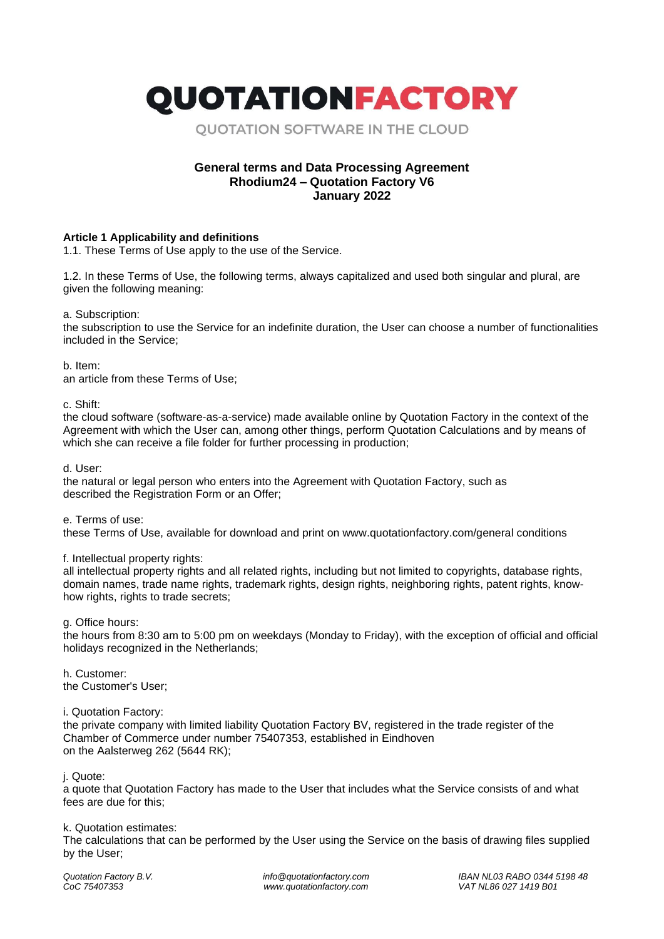QUOTATIONFACTORY

**OUOTATION SOFTWARE IN THE CLOUD** 

# **General terms and Data Processing Agreement Rhodium24 – Quotation Factory V6 January 2022**

## **Article 1 Applicability and definitions**

1.1. These Terms of Use apply to the use of the Service.

1.2. In these Terms of Use, the following terms, always capitalized and used both singular and plural, are given the following meaning:

a. Subscription:

the subscription to use the Service for an indefinite duration, the User can choose a number of functionalities included in the Service;

b. Item:

an article from these Terms of Use;

c. Shift:

the cloud software (software-as-a-service) made available online by Quotation Factory in the context of the Agreement with which the User can, among other things, perform Quotation Calculations and by means of which she can receive a file folder for further processing in production;

d. User:

the natural or legal person who enters into the Agreement with Quotation Factory, such as described the Registration Form or an Offer;

e. Terms of use:

these Terms of Use, available for download and print on www.quotationfactory.com/general conditions

#### f. Intellectual property rights:

all intellectual property rights and all related rights, including but not limited to copyrights, database rights, domain names, trade name rights, trademark rights, design rights, neighboring rights, patent rights, knowhow rights, rights to trade secrets;

g. Office hours:

the hours from 8:30 am to 5:00 pm on weekdays (Monday to Friday), with the exception of official and official holidays recognized in the Netherlands;

h. Customer: the Customer's User;

i. Quotation Factory:

the private company with limited liability Quotation Factory BV, registered in the trade register of the Chamber of Commerce under number 75407353, established in Eindhoven on the Aalsterweg 262 (5644 RK);

j. Quote:

a quote that Quotation Factory has made to the User that includes what the Service consists of and what fees are due for this;

#### k. Quotation estimates:

The calculations that can be performed by the User using the Service on the basis of drawing files supplied by the User;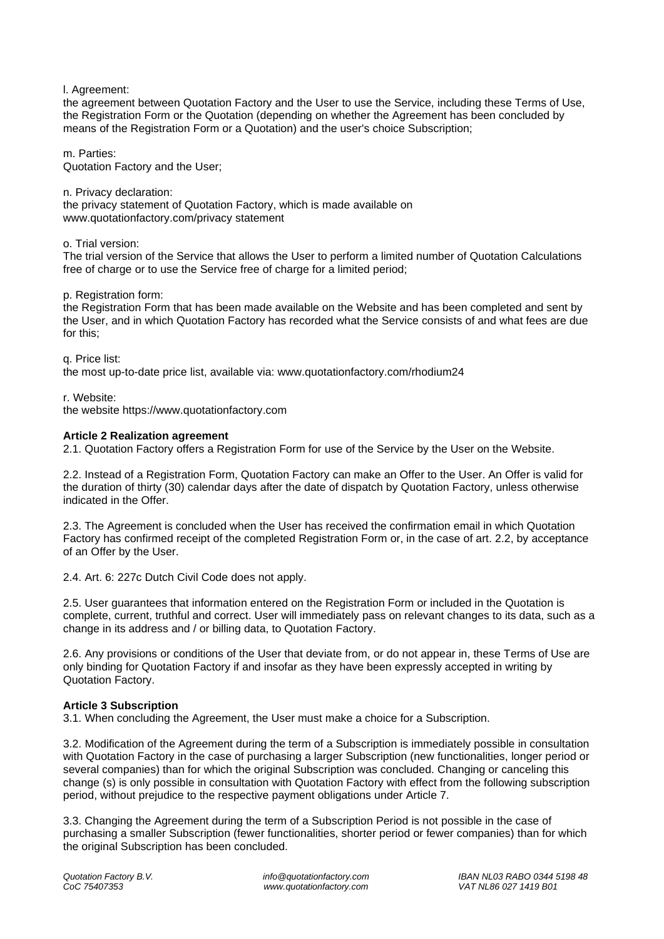l. Agreement:

the agreement between Quotation Factory and the User to use the Service, including these Terms of Use, the Registration Form or the Quotation (depending on whether the Agreement has been concluded by means of the Registration Form or a Quotation) and the user's choice Subscription;

m. Parties: Quotation Factory and the User;

n. Privacy declaration: the privacy statement of Quotation Factory, which is made available on www.quotationfactory.com/privacy statement

o. Trial version:

The trial version of the Service that allows the User to perform a limited number of Quotation Calculations free of charge or to use the Service free of charge for a limited period;

p. Registration form:

the Registration Form that has been made available on the Website and has been completed and sent by the User, and in which Quotation Factory has recorded what the Service consists of and what fees are due for this;

q. Price list:

the most up-to-date price list, available via: www.quotationfactory.com/rhodium24

r. Website: the website https://www.quotationfactory.com

### **Article 2 Realization agreement**

2.1. Quotation Factory offers a Registration Form for use of the Service by the User on the Website.

2.2. Instead of a Registration Form, Quotation Factory can make an Offer to the User. An Offer is valid for the duration of thirty (30) calendar days after the date of dispatch by Quotation Factory, unless otherwise indicated in the Offer.

2.3. The Agreement is concluded when the User has received the confirmation email in which Quotation Factory has confirmed receipt of the completed Registration Form or, in the case of art. 2.2, by acceptance of an Offer by the User.

2.4. Art. 6: 227c Dutch Civil Code does not apply.

2.5. User guarantees that information entered on the Registration Form or included in the Quotation is complete, current, truthful and correct. User will immediately pass on relevant changes to its data, such as a change in its address and / or billing data, to Quotation Factory.

2.6. Any provisions or conditions of the User that deviate from, or do not appear in, these Terms of Use are only binding for Quotation Factory if and insofar as they have been expressly accepted in writing by Quotation Factory.

## **Article 3 Subscription**

3.1. When concluding the Agreement, the User must make a choice for a Subscription.

3.2. Modification of the Agreement during the term of a Subscription is immediately possible in consultation with Quotation Factory in the case of purchasing a larger Subscription (new functionalities, longer period or several companies) than for which the original Subscription was concluded. Changing or canceling this change (s) is only possible in consultation with Quotation Factory with effect from the following subscription period, without prejudice to the respective payment obligations under Article 7.

3.3. Changing the Agreement during the term of a Subscription Period is not possible in the case of purchasing a smaller Subscription (fewer functionalities, shorter period or fewer companies) than for which the original Subscription has been concluded.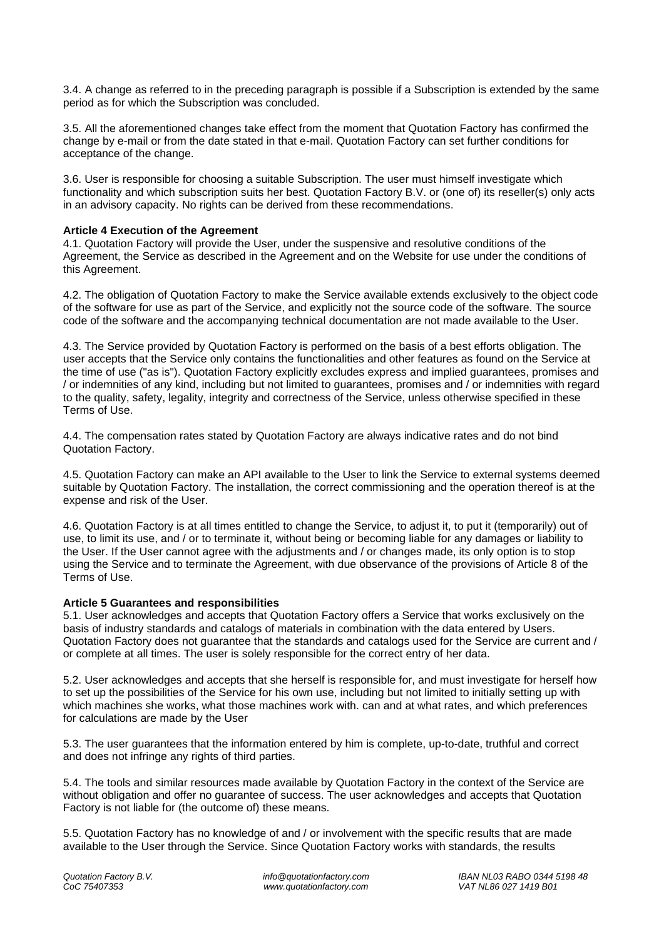3.4. A change as referred to in the preceding paragraph is possible if a Subscription is extended by the same period as for which the Subscription was concluded.

3.5. All the aforementioned changes take effect from the moment that Quotation Factory has confirmed the change by e-mail or from the date stated in that e-mail. Quotation Factory can set further conditions for acceptance of the change.

3.6. User is responsible for choosing a suitable Subscription. The user must himself investigate which functionality and which subscription suits her best. Quotation Factory B.V. or (one of) its reseller(s) only acts in an advisory capacity. No rights can be derived from these recommendations.

### **Article 4 Execution of the Agreement**

4.1. Quotation Factory will provide the User, under the suspensive and resolutive conditions of the Agreement, the Service as described in the Agreement and on the Website for use under the conditions of this Agreement.

4.2. The obligation of Quotation Factory to make the Service available extends exclusively to the object code of the software for use as part of the Service, and explicitly not the source code of the software. The source code of the software and the accompanying technical documentation are not made available to the User.

4.3. The Service provided by Quotation Factory is performed on the basis of a best efforts obligation. The user accepts that the Service only contains the functionalities and other features as found on the Service at the time of use ("as is"). Quotation Factory explicitly excludes express and implied guarantees, promises and / or indemnities of any kind, including but not limited to guarantees, promises and / or indemnities with regard to the quality, safety, legality, integrity and correctness of the Service, unless otherwise specified in these Terms of Use.

4.4. The compensation rates stated by Quotation Factory are always indicative rates and do not bind Quotation Factory.

4.5. Quotation Factory can make an API available to the User to link the Service to external systems deemed suitable by Quotation Factory. The installation, the correct commissioning and the operation thereof is at the expense and risk of the User.

4.6. Quotation Factory is at all times entitled to change the Service, to adjust it, to put it (temporarily) out of use, to limit its use, and / or to terminate it, without being or becoming liable for any damages or liability to the User. If the User cannot agree with the adjustments and / or changes made, its only option is to stop using the Service and to terminate the Agreement, with due observance of the provisions of Article 8 of the Terms of Use.

## **Article 5 Guarantees and responsibilities**

5.1. User acknowledges and accepts that Quotation Factory offers a Service that works exclusively on the basis of industry standards and catalogs of materials in combination with the data entered by Users. Quotation Factory does not guarantee that the standards and catalogs used for the Service are current and / or complete at all times. The user is solely responsible for the correct entry of her data.

5.2. User acknowledges and accepts that she herself is responsible for, and must investigate for herself how to set up the possibilities of the Service for his own use, including but not limited to initially setting up with which machines she works, what those machines work with. can and at what rates, and which preferences for calculations are made by the User

5.3. The user guarantees that the information entered by him is complete, up-to-date, truthful and correct and does not infringe any rights of third parties.

5.4. The tools and similar resources made available by Quotation Factory in the context of the Service are without obligation and offer no guarantee of success. The user acknowledges and accepts that Quotation Factory is not liable for (the outcome of) these means.

5.5. Quotation Factory has no knowledge of and / or involvement with the specific results that are made available to the User through the Service. Since Quotation Factory works with standards, the results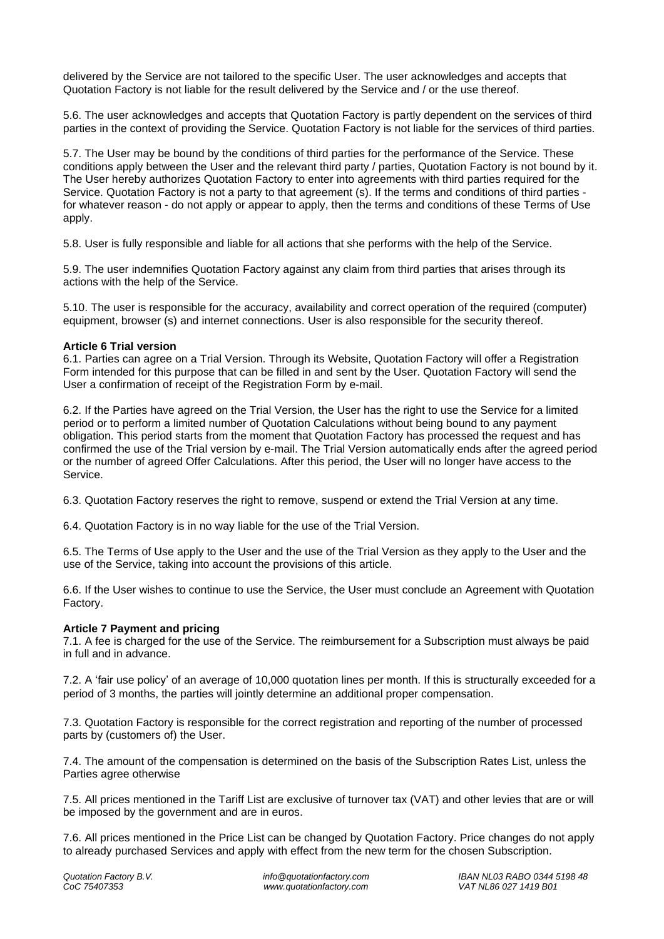delivered by the Service are not tailored to the specific User. The user acknowledges and accepts that Quotation Factory is not liable for the result delivered by the Service and / or the use thereof.

5.6. The user acknowledges and accepts that Quotation Factory is partly dependent on the services of third parties in the context of providing the Service. Quotation Factory is not liable for the services of third parties.

5.7. The User may be bound by the conditions of third parties for the performance of the Service. These conditions apply between the User and the relevant third party / parties, Quotation Factory is not bound by it. The User hereby authorizes Quotation Factory to enter into agreements with third parties required for the Service. Quotation Factory is not a party to that agreement (s). If the terms and conditions of third parties for whatever reason - do not apply or appear to apply, then the terms and conditions of these Terms of Use apply.

5.8. User is fully responsible and liable for all actions that she performs with the help of the Service.

5.9. The user indemnifies Quotation Factory against any claim from third parties that arises through its actions with the help of the Service.

5.10. The user is responsible for the accuracy, availability and correct operation of the required (computer) equipment, browser (s) and internet connections. User is also responsible for the security thereof.

### **Article 6 Trial version**

6.1. Parties can agree on a Trial Version. Through its Website, Quotation Factory will offer a Registration Form intended for this purpose that can be filled in and sent by the User. Quotation Factory will send the User a confirmation of receipt of the Registration Form by e-mail.

6.2. If the Parties have agreed on the Trial Version, the User has the right to use the Service for a limited period or to perform a limited number of Quotation Calculations without being bound to any payment obligation. This period starts from the moment that Quotation Factory has processed the request and has confirmed the use of the Trial version by e-mail. The Trial Version automatically ends after the agreed period or the number of agreed Offer Calculations. After this period, the User will no longer have access to the Service.

6.3. Quotation Factory reserves the right to remove, suspend or extend the Trial Version at any time.

6.4. Quotation Factory is in no way liable for the use of the Trial Version.

6.5. The Terms of Use apply to the User and the use of the Trial Version as they apply to the User and the use of the Service, taking into account the provisions of this article.

6.6. If the User wishes to continue to use the Service, the User must conclude an Agreement with Quotation Factory.

## **Article 7 Payment and pricing**

7.1. A fee is charged for the use of the Service. The reimbursement for a Subscription must always be paid in full and in advance.

7.2. A 'fair use policy' of an average of 10,000 quotation lines per month. If this is structurally exceeded for a period of 3 months, the parties will jointly determine an additional proper compensation.

7.3. Quotation Factory is responsible for the correct registration and reporting of the number of processed parts by (customers of) the User.

7.4. The amount of the compensation is determined on the basis of the Subscription Rates List, unless the Parties agree otherwise

7.5. All prices mentioned in the Tariff List are exclusive of turnover tax (VAT) and other levies that are or will be imposed by the government and are in euros.

7.6. All prices mentioned in the Price List can be changed by Quotation Factory. Price changes do not apply to already purchased Services and apply with effect from the new term for the chosen Subscription.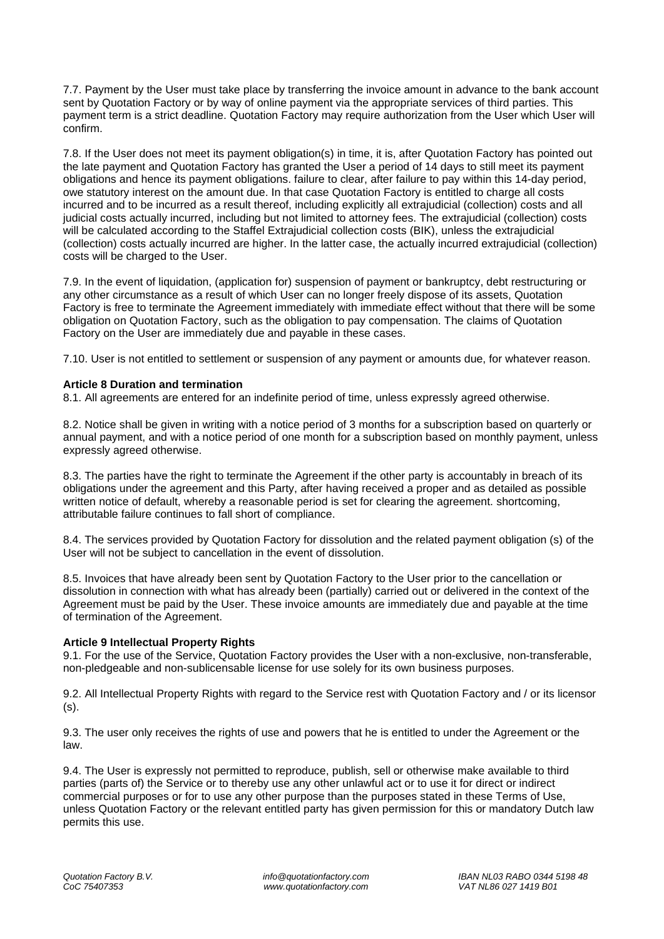7.7. Payment by the User must take place by transferring the invoice amount in advance to the bank account sent by Quotation Factory or by way of online payment via the appropriate services of third parties. This payment term is a strict deadline. Quotation Factory may require authorization from the User which User will confirm.

7.8. If the User does not meet its payment obligation(s) in time, it is, after Quotation Factory has pointed out the late payment and Quotation Factory has granted the User a period of 14 days to still meet its payment obligations and hence its payment obligations. failure to clear, after failure to pay within this 14-day period, owe statutory interest on the amount due. In that case Quotation Factory is entitled to charge all costs incurred and to be incurred as a result thereof, including explicitly all extrajudicial (collection) costs and all judicial costs actually incurred, including but not limited to attorney fees. The extrajudicial (collection) costs will be calculated according to the Staffel Extrajudicial collection costs (BIK), unless the extrajudicial (collection) costs actually incurred are higher. In the latter case, the actually incurred extrajudicial (collection) costs will be charged to the User.

7.9. In the event of liquidation, (application for) suspension of payment or bankruptcy, debt restructuring or any other circumstance as a result of which User can no longer freely dispose of its assets, Quotation Factory is free to terminate the Agreement immediately with immediate effect without that there will be some obligation on Quotation Factory, such as the obligation to pay compensation. The claims of Quotation Factory on the User are immediately due and payable in these cases.

7.10. User is not entitled to settlement or suspension of any payment or amounts due, for whatever reason.

### **Article 8 Duration and termination**

8.1. All agreements are entered for an indefinite period of time, unless expressly agreed otherwise.

8.2. Notice shall be given in writing with a notice period of 3 months for a subscription based on quarterly or annual payment, and with a notice period of one month for a subscription based on monthly payment, unless expressly agreed otherwise.

8.3. The parties have the right to terminate the Agreement if the other party is accountably in breach of its obligations under the agreement and this Party, after having received a proper and as detailed as possible written notice of default, whereby a reasonable period is set for clearing the agreement. shortcoming, attributable failure continues to fall short of compliance.

8.4. The services provided by Quotation Factory for dissolution and the related payment obligation (s) of the User will not be subject to cancellation in the event of dissolution.

8.5. Invoices that have already been sent by Quotation Factory to the User prior to the cancellation or dissolution in connection with what has already been (partially) carried out or delivered in the context of the Agreement must be paid by the User. These invoice amounts are immediately due and payable at the time of termination of the Agreement.

## **Article 9 Intellectual Property Rights**

9.1. For the use of the Service, Quotation Factory provides the User with a non-exclusive, non-transferable, non-pledgeable and non-sublicensable license for use solely for its own business purposes.

9.2. All Intellectual Property Rights with regard to the Service rest with Quotation Factory and / or its licensor (s).

9.3. The user only receives the rights of use and powers that he is entitled to under the Agreement or the law.

9.4. The User is expressly not permitted to reproduce, publish, sell or otherwise make available to third parties (parts of) the Service or to thereby use any other unlawful act or to use it for direct or indirect commercial purposes or for to use any other purpose than the purposes stated in these Terms of Use, unless Quotation Factory or the relevant entitled party has given permission for this or mandatory Dutch law permits this use.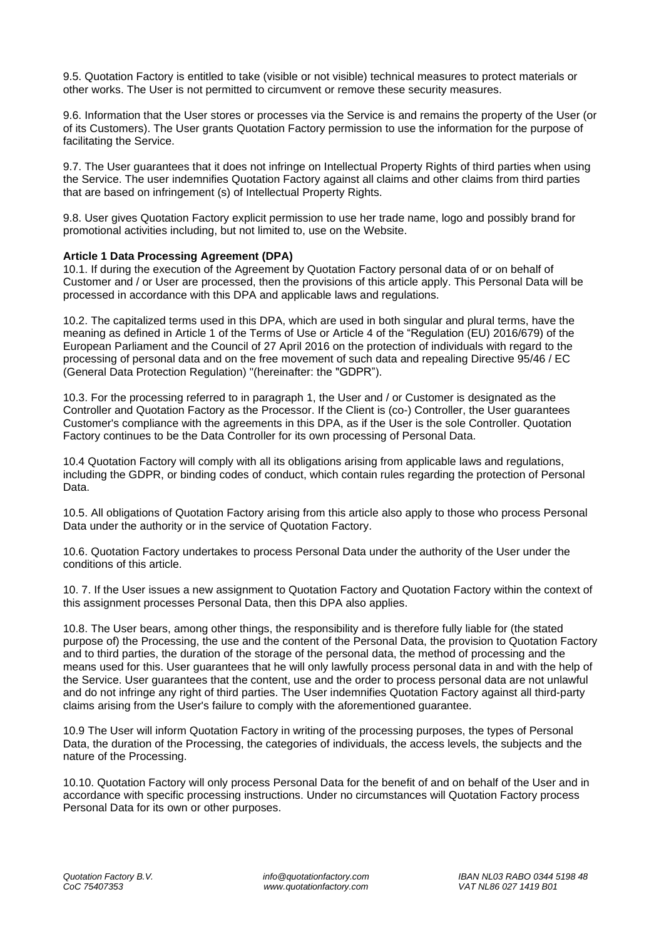9.5. Quotation Factory is entitled to take (visible or not visible) technical measures to protect materials or other works. The User is not permitted to circumvent or remove these security measures.

9.6. Information that the User stores or processes via the Service is and remains the property of the User (or of its Customers). The User grants Quotation Factory permission to use the information for the purpose of facilitating the Service.

9.7. The User guarantees that it does not infringe on Intellectual Property Rights of third parties when using the Service. The user indemnifies Quotation Factory against all claims and other claims from third parties that are based on infringement (s) of Intellectual Property Rights.

9.8. User gives Quotation Factory explicit permission to use her trade name, logo and possibly brand for promotional activities including, but not limited to, use on the Website.

### **Article 1 Data Processing Agreement (DPA)**

10.1. If during the execution of the Agreement by Quotation Factory personal data of or on behalf of Customer and / or User are processed, then the provisions of this article apply. This Personal Data will be processed in accordance with this DPA and applicable laws and regulations.

10.2. The capitalized terms used in this DPA, which are used in both singular and plural terms, have the meaning as defined in Article 1 of the Terms of Use or Article 4 of the "Regulation (EU) 2016/679) of the European Parliament and the Council of 27 April 2016 on the protection of individuals with regard to the processing of personal data and on the free movement of such data and repealing Directive 95/46 / EC (General Data Protection Regulation) "(hereinafter: the "GDPR").

10.3. For the processing referred to in paragraph 1, the User and / or Customer is designated as the Controller and Quotation Factory as the Processor. If the Client is (co-) Controller, the User guarantees Customer's compliance with the agreements in this DPA, as if the User is the sole Controller. Quotation Factory continues to be the Data Controller for its own processing of Personal Data.

10.4 Quotation Factory will comply with all its obligations arising from applicable laws and regulations, including the GDPR, or binding codes of conduct, which contain rules regarding the protection of Personal Data.

10.5. All obligations of Quotation Factory arising from this article also apply to those who process Personal Data under the authority or in the service of Quotation Factory.

10.6. Quotation Factory undertakes to process Personal Data under the authority of the User under the conditions of this article.

10. 7. If the User issues a new assignment to Quotation Factory and Quotation Factory within the context of this assignment processes Personal Data, then this DPA also applies.

10.8. The User bears, among other things, the responsibility and is therefore fully liable for (the stated purpose of) the Processing, the use and the content of the Personal Data, the provision to Quotation Factory and to third parties, the duration of the storage of the personal data, the method of processing and the means used for this. User guarantees that he will only lawfully process personal data in and with the help of the Service. User guarantees that the content, use and the order to process personal data are not unlawful and do not infringe any right of third parties. The User indemnifies Quotation Factory against all third-party claims arising from the User's failure to comply with the aforementioned guarantee.

10.9 The User will inform Quotation Factory in writing of the processing purposes, the types of Personal Data, the duration of the Processing, the categories of individuals, the access levels, the subjects and the nature of the Processing.

10.10. Quotation Factory will only process Personal Data for the benefit of and on behalf of the User and in accordance with specific processing instructions. Under no circumstances will Quotation Factory process Personal Data for its own or other purposes.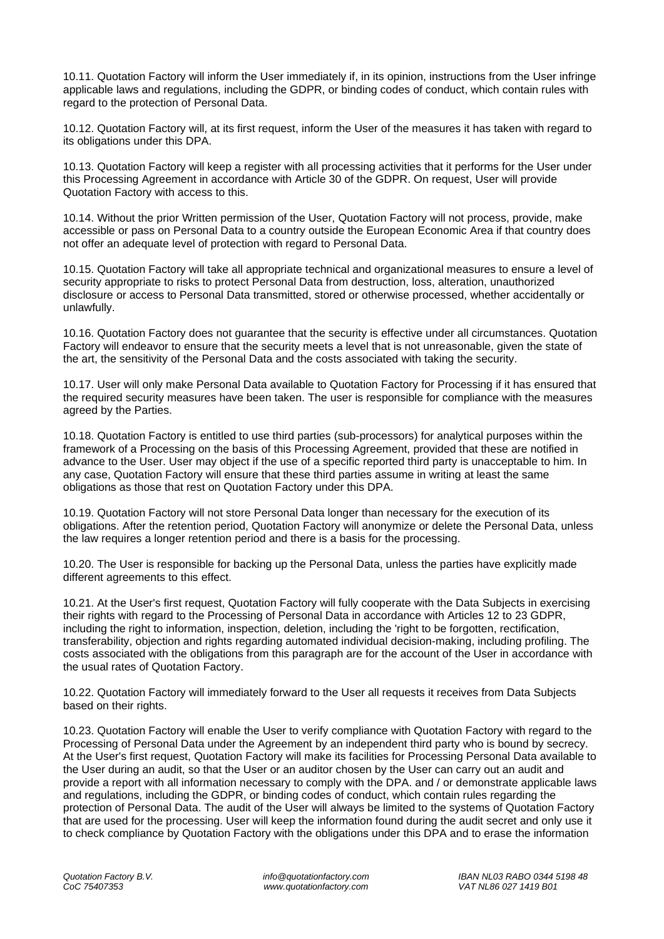10.11. Quotation Factory will inform the User immediately if, in its opinion, instructions from the User infringe applicable laws and regulations, including the GDPR, or binding codes of conduct, which contain rules with regard to the protection of Personal Data.

10.12. Quotation Factory will, at its first request, inform the User of the measures it has taken with regard to its obligations under this DPA.

10.13. Quotation Factory will keep a register with all processing activities that it performs for the User under this Processing Agreement in accordance with Article 30 of the GDPR. On request, User will provide Quotation Factory with access to this.

10.14. Without the prior Written permission of the User, Quotation Factory will not process, provide, make accessible or pass on Personal Data to a country outside the European Economic Area if that country does not offer an adequate level of protection with regard to Personal Data.

10.15. Quotation Factory will take all appropriate technical and organizational measures to ensure a level of security appropriate to risks to protect Personal Data from destruction, loss, alteration, unauthorized disclosure or access to Personal Data transmitted, stored or otherwise processed, whether accidentally or unlawfully.

10.16. Quotation Factory does not guarantee that the security is effective under all circumstances. Quotation Factory will endeavor to ensure that the security meets a level that is not unreasonable, given the state of the art, the sensitivity of the Personal Data and the costs associated with taking the security.

10.17. User will only make Personal Data available to Quotation Factory for Processing if it has ensured that the required security measures have been taken. The user is responsible for compliance with the measures agreed by the Parties.

10.18. Quotation Factory is entitled to use third parties (sub-processors) for analytical purposes within the framework of a Processing on the basis of this Processing Agreement, provided that these are notified in advance to the User. User may object if the use of a specific reported third party is unacceptable to him. In any case, Quotation Factory will ensure that these third parties assume in writing at least the same obligations as those that rest on Quotation Factory under this DPA.

10.19. Quotation Factory will not store Personal Data longer than necessary for the execution of its obligations. After the retention period, Quotation Factory will anonymize or delete the Personal Data, unless the law requires a longer retention period and there is a basis for the processing.

10.20. The User is responsible for backing up the Personal Data, unless the parties have explicitly made different agreements to this effect.

10.21. At the User's first request, Quotation Factory will fully cooperate with the Data Subjects in exercising their rights with regard to the Processing of Personal Data in accordance with Articles 12 to 23 GDPR, including the right to information, inspection, deletion, including the 'right to be forgotten, rectification, transferability, objection and rights regarding automated individual decision-making, including profiling. The costs associated with the obligations from this paragraph are for the account of the User in accordance with the usual rates of Quotation Factory.

10.22. Quotation Factory will immediately forward to the User all requests it receives from Data Subjects based on their rights.

10.23. Quotation Factory will enable the User to verify compliance with Quotation Factory with regard to the Processing of Personal Data under the Agreement by an independent third party who is bound by secrecy. At the User's first request, Quotation Factory will make its facilities for Processing Personal Data available to the User during an audit, so that the User or an auditor chosen by the User can carry out an audit and provide a report with all information necessary to comply with the DPA. and / or demonstrate applicable laws and regulations, including the GDPR, or binding codes of conduct, which contain rules regarding the protection of Personal Data. The audit of the User will always be limited to the systems of Quotation Factory that are used for the processing. User will keep the information found during the audit secret and only use it to check compliance by Quotation Factory with the obligations under this DPA and to erase the information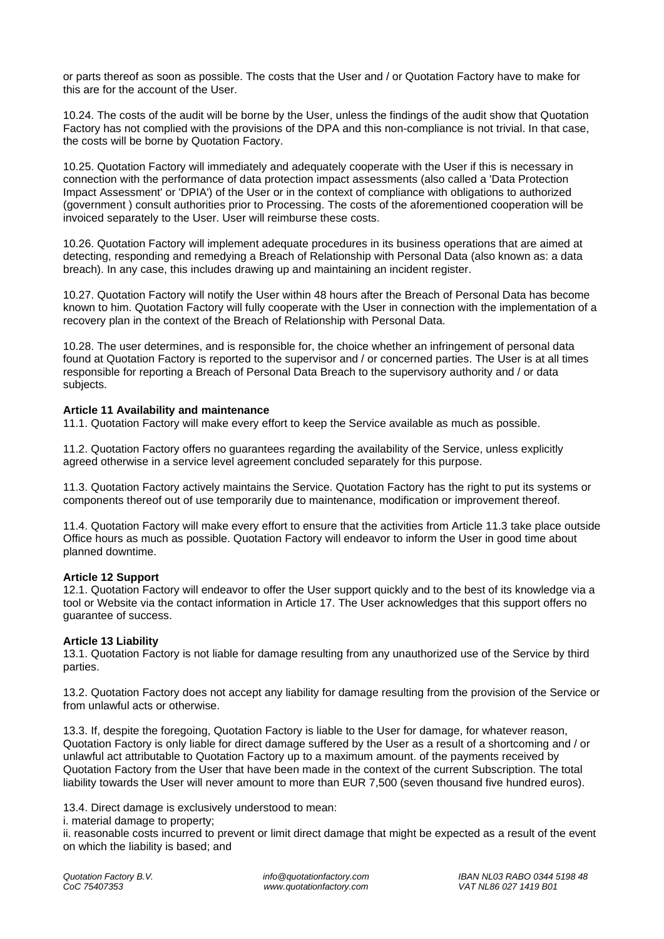or parts thereof as soon as possible. The costs that the User and / or Quotation Factory have to make for this are for the account of the User.

10.24. The costs of the audit will be borne by the User, unless the findings of the audit show that Quotation Factory has not complied with the provisions of the DPA and this non-compliance is not trivial. In that case, the costs will be borne by Quotation Factory.

10.25. Quotation Factory will immediately and adequately cooperate with the User if this is necessary in connection with the performance of data protection impact assessments (also called a 'Data Protection Impact Assessment' or 'DPIA') of the User or in the context of compliance with obligations to authorized (government ) consult authorities prior to Processing. The costs of the aforementioned cooperation will be invoiced separately to the User. User will reimburse these costs.

10.26. Quotation Factory will implement adequate procedures in its business operations that are aimed at detecting, responding and remedying a Breach of Relationship with Personal Data (also known as: a data breach). In any case, this includes drawing up and maintaining an incident register.

10.27. Quotation Factory will notify the User within 48 hours after the Breach of Personal Data has become known to him. Quotation Factory will fully cooperate with the User in connection with the implementation of a recovery plan in the context of the Breach of Relationship with Personal Data.

10.28. The user determines, and is responsible for, the choice whether an infringement of personal data found at Quotation Factory is reported to the supervisor and / or concerned parties. The User is at all times responsible for reporting a Breach of Personal Data Breach to the supervisory authority and / or data subjects.

### **Article 11 Availability and maintenance**

11.1. Quotation Factory will make every effort to keep the Service available as much as possible.

11.2. Quotation Factory offers no guarantees regarding the availability of the Service, unless explicitly agreed otherwise in a service level agreement concluded separately for this purpose.

11.3. Quotation Factory actively maintains the Service. Quotation Factory has the right to put its systems or components thereof out of use temporarily due to maintenance, modification or improvement thereof.

11.4. Quotation Factory will make every effort to ensure that the activities from Article 11.3 take place outside Office hours as much as possible. Quotation Factory will endeavor to inform the User in good time about planned downtime.

#### **Article 12 Support**

12.1. Quotation Factory will endeavor to offer the User support quickly and to the best of its knowledge via a tool or Website via the contact information in Article 17. The User acknowledges that this support offers no guarantee of success.

#### **Article 13 Liability**

13.1. Quotation Factory is not liable for damage resulting from any unauthorized use of the Service by third parties.

13.2. Quotation Factory does not accept any liability for damage resulting from the provision of the Service or from unlawful acts or otherwise.

13.3. If, despite the foregoing, Quotation Factory is liable to the User for damage, for whatever reason, Quotation Factory is only liable for direct damage suffered by the User as a result of a shortcoming and / or unlawful act attributable to Quotation Factory up to a maximum amount. of the payments received by Quotation Factory from the User that have been made in the context of the current Subscription. The total liability towards the User will never amount to more than EUR 7,500 (seven thousand five hundred euros).

13.4. Direct damage is exclusively understood to mean:

i. material damage to property;

ii. reasonable costs incurred to prevent or limit direct damage that might be expected as a result of the event on which the liability is based; and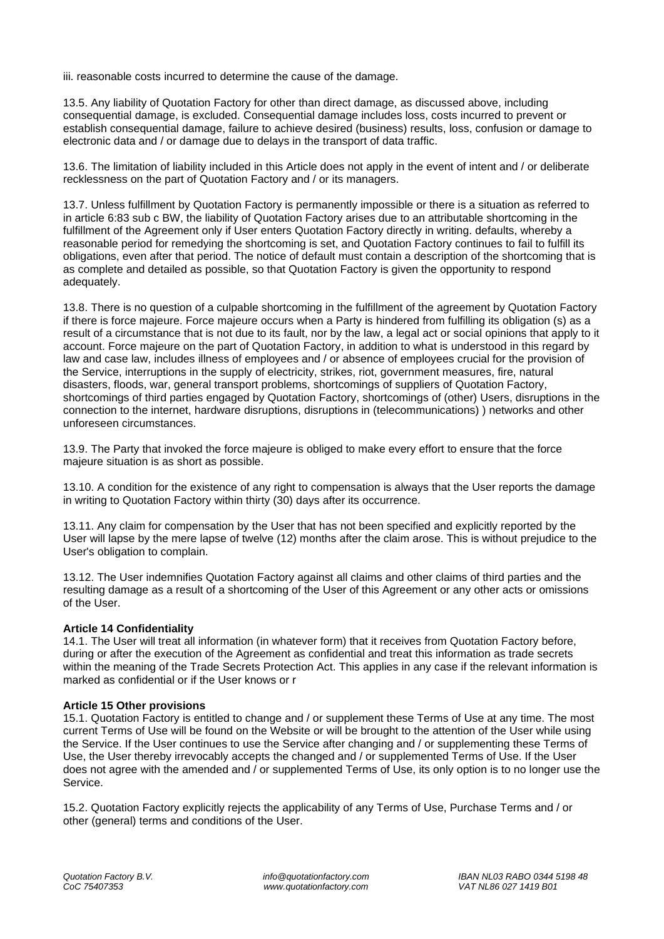iii. reasonable costs incurred to determine the cause of the damage.

13.5. Any liability of Quotation Factory for other than direct damage, as discussed above, including consequential damage, is excluded. Consequential damage includes loss, costs incurred to prevent or establish consequential damage, failure to achieve desired (business) results, loss, confusion or damage to electronic data and / or damage due to delays in the transport of data traffic.

13.6. The limitation of liability included in this Article does not apply in the event of intent and / or deliberate recklessness on the part of Quotation Factory and / or its managers.

13.7. Unless fulfillment by Quotation Factory is permanently impossible or there is a situation as referred to in article 6:83 sub c BW, the liability of Quotation Factory arises due to an attributable shortcoming in the fulfillment of the Agreement only if User enters Quotation Factory directly in writing. defaults, whereby a reasonable period for remedying the shortcoming is set, and Quotation Factory continues to fail to fulfill its obligations, even after that period. The notice of default must contain a description of the shortcoming that is as complete and detailed as possible, so that Quotation Factory is given the opportunity to respond adequately.

13.8. There is no question of a culpable shortcoming in the fulfillment of the agreement by Quotation Factory if there is force majeure. Force majeure occurs when a Party is hindered from fulfilling its obligation (s) as a result of a circumstance that is not due to its fault, nor by the law, a legal act or social opinions that apply to it account. Force majeure on the part of Quotation Factory, in addition to what is understood in this regard by law and case law, includes illness of employees and / or absence of employees crucial for the provision of the Service, interruptions in the supply of electricity, strikes, riot, government measures, fire, natural disasters, floods, war, general transport problems, shortcomings of suppliers of Quotation Factory, shortcomings of third parties engaged by Quotation Factory, shortcomings of (other) Users, disruptions in the connection to the internet, hardware disruptions, disruptions in (telecommunications) ) networks and other unforeseen circumstances.

13.9. The Party that invoked the force majeure is obliged to make every effort to ensure that the force majeure situation is as short as possible.

13.10. A condition for the existence of any right to compensation is always that the User reports the damage in writing to Quotation Factory within thirty (30) days after its occurrence.

13.11. Any claim for compensation by the User that has not been specified and explicitly reported by the User will lapse by the mere lapse of twelve (12) months after the claim arose. This is without prejudice to the User's obligation to complain.

13.12. The User indemnifies Quotation Factory against all claims and other claims of third parties and the resulting damage as a result of a shortcoming of the User of this Agreement or any other acts or omissions of the User.

## **Article 14 Confidentiality**

14.1. The User will treat all information (in whatever form) that it receives from Quotation Factory before, during or after the execution of the Agreement as confidential and treat this information as trade secrets within the meaning of the Trade Secrets Protection Act. This applies in any case if the relevant information is marked as confidential or if the User knows or r

#### **Article 15 Other provisions**

15.1. Quotation Factory is entitled to change and / or supplement these Terms of Use at any time. The most current Terms of Use will be found on the Website or will be brought to the attention of the User while using the Service. If the User continues to use the Service after changing and / or supplementing these Terms of Use, the User thereby irrevocably accepts the changed and / or supplemented Terms of Use. If the User does not agree with the amended and / or supplemented Terms of Use, its only option is to no longer use the Service.

15.2. Quotation Factory explicitly rejects the applicability of any Terms of Use, Purchase Terms and / or other (general) terms and conditions of the User.